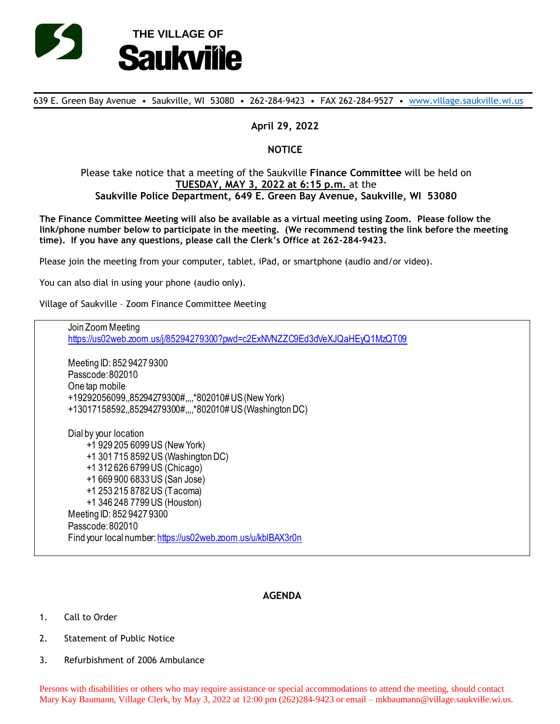

639 E. Green Bay Avenue • Saukville, WI 53080 • 262-284-9423 • FAX 262-284-9527 • [www.village.saukville.wi.us](http://www.village.saukville.wi.us/)

## **April 29, 2022**

## **NOTICE**

## Please take notice that a meeting of the Saukville **Finance Committee** will be held on **TUESDAY, MAY 3, 2022 at 6:15 p.m.** at the **Saukville Police Department, 649 E. Green Bay Avenue, Saukville, WI 53080**

**The Finance Committee Meeting will also be available as a virtual meeting using Zoom. Please follow the link/phone number below to participate in the meeting. (We recommend testing the link before the meeting time). If you have any questions, please call the Clerk's Office at 262-284-9423.**

Please join the meeting from your computer, tablet, iPad, or smartphone (audio and/or video).

You can also dial in using your phone (audio only).

Village of Saukville – Zoom Finance Committee Meeting

Join Zoom Meeting https://us02web.zoom.us/j/85294279300?pwd=c2ExNVNZZC9Ed3dVeXJQaHEyQ1MzQT09 Meeting ID: 852 9427 9300 Passcode: 802010 One tap mobile +19292056099,,85294279300#,,,,\*802010# US (New York) +13017158592,,85294279300#,,,,\*802010# US (Washington DC) Dial by your location +1 929 205 6099 US (New York) +1 301 715 8592 US (Washington DC) +1 312 626 6799 US (Chicago) +1 669 900 6833 US (San Jose) +1 253 215 8782 US (Tacoma) +1 346 248 7799 US (Houston) Meeting ID: 852 9427 9300 Passcode: 802010 Find your local number: https://us02web.zoom.us/u/kblBAX3r0n

## **AGENDA**

- 1. Call to Order
- 2. Statement of Public Notice
- 3. Refurbishment of 2006 Ambulance

Persons with disabilities or others who may require assistance or special accommodations to attend the meeting, should contact Mary Kay Baumann, Village Clerk, by May 3, 2022 at 12:00 pm (262)284-9423 or email – mkbaumann@village.saukville.wi.us.